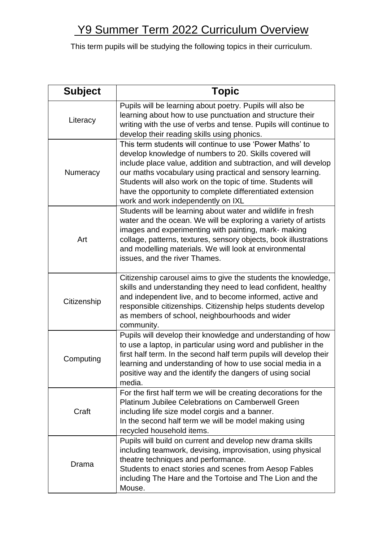## Y9 Summer Term 2022 Curriculum Overview

This term pupils will be studying the following topics in their curriculum.

| <b>Subject</b> | <b>Topic</b>                                                                                                                                                                                                                                                                                                                                                                                                           |
|----------------|------------------------------------------------------------------------------------------------------------------------------------------------------------------------------------------------------------------------------------------------------------------------------------------------------------------------------------------------------------------------------------------------------------------------|
| Literacy       | Pupils will be learning about poetry. Pupils will also be<br>learning about how to use punctuation and structure their<br>writing with the use of verbs and tense. Pupils will continue to<br>develop their reading skills using phonics.                                                                                                                                                                              |
| Numeracy       | This term students will continue to use 'Power Maths' to<br>develop knowledge of numbers to 20. Skills covered will<br>include place value, addition and subtraction, and will develop<br>our maths vocabulary using practical and sensory learning.<br>Students will also work on the topic of time. Students will<br>have the opportunity to complete differentiated extension<br>work and work independently on IXL |
| Art            | Students will be learning about water and wildlife in fresh<br>water and the ocean. We will be exploring a variety of artists<br>images and experimenting with painting, mark- making<br>collage, patterns, textures, sensory objects, book illustrations<br>and modelling materials. We will look at environmental<br>issues, and the river Thames.                                                                   |
| Citizenship    | Citizenship carousel aims to give the students the knowledge,<br>skills and understanding they need to lead confident, healthy<br>and independent live, and to become informed, active and<br>responsible citizenships. Citizenship helps students develop<br>as members of school, neighbourhoods and wider<br>community.                                                                                             |
| Computing      | Pupils will develop their knowledge and understanding of how<br>to use a laptop, in particular using word and publisher in the<br>first half term. In the second half term pupils will develop their<br>learning and understanding of how to use social media in a<br>positive way and the identify the dangers of using social<br>media.                                                                              |
| Craft          | For the first half term we will be creating decorations for the<br><b>Platinum Jubilee Celebrations on Camberwell Green</b><br>including life size model corgis and a banner.<br>In the second half term we will be model making using<br>recycled household items.                                                                                                                                                    |
| Drama          | Pupils will build on current and develop new drama skills<br>including teamwork, devising, improvisation, using physical<br>theatre techniques and performance.<br>Students to enact stories and scenes from Aesop Fables<br>including The Hare and the Tortoise and The Lion and the<br>Mouse.                                                                                                                        |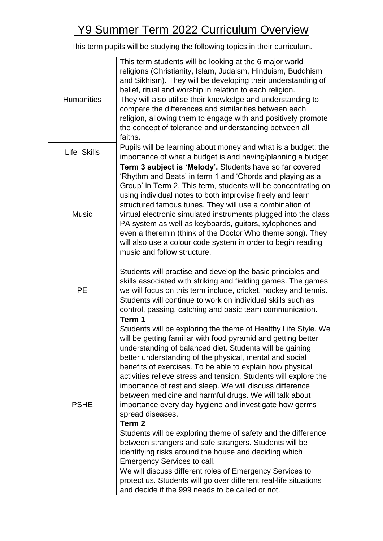## Y9 Summer Term 2022 Curriculum Overview

This term pupils will be studying the following topics in their curriculum.

| <b>Humanities</b> | This term students will be looking at the 6 major world<br>religions (Christianity, Islam, Judaism, Hinduism, Buddhism<br>and Sikhism). They will be developing their understanding of<br>belief, ritual and worship in relation to each religion.<br>They will also utilise their knowledge and understanding to<br>compare the differences and similarities between each<br>religion, allowing them to engage with and positively promote<br>the concept of tolerance and understanding between all<br>faiths.                                                                                                                                                                                                                                                                                                                                                                                                                                                                                                                  |
|-------------------|-----------------------------------------------------------------------------------------------------------------------------------------------------------------------------------------------------------------------------------------------------------------------------------------------------------------------------------------------------------------------------------------------------------------------------------------------------------------------------------------------------------------------------------------------------------------------------------------------------------------------------------------------------------------------------------------------------------------------------------------------------------------------------------------------------------------------------------------------------------------------------------------------------------------------------------------------------------------------------------------------------------------------------------|
| Life Skills       | Pupils will be learning about money and what is a budget; the<br>importance of what a budget is and having/planning a budget                                                                                                                                                                                                                                                                                                                                                                                                                                                                                                                                                                                                                                                                                                                                                                                                                                                                                                      |
| <b>Music</b>      | Term 3 subject is 'Melody'. Students have so far covered<br>'Rhythm and Beats' in term 1 and 'Chords and playing as a<br>Group' in Term 2. This term, students will be concentrating on<br>using individual notes to both improvise freely and learn<br>structured famous tunes. They will use a combination of<br>virtual electronic simulated instruments plugged into the class<br>PA system as well as keyboards, guitars, xylophones and<br>even a theremin (think of the Doctor Who theme song). They<br>will also use a colour code system in order to begin reading<br>music and follow structure.                                                                                                                                                                                                                                                                                                                                                                                                                        |
| PE                | Students will practise and develop the basic principles and<br>skills associated with striking and fielding games. The games<br>we will focus on this term include, cricket, hockey and tennis.<br>Students will continue to work on individual skills such as<br>control, passing, catching and basic team communication.                                                                                                                                                                                                                                                                                                                                                                                                                                                                                                                                                                                                                                                                                                        |
| <b>PSHE</b>       | Term 1<br>Students will be exploring the theme of Healthy Life Style. We<br>will be getting familiar with food pyramid and getting better<br>understanding of balanced diet. Students will be gaining<br>better understanding of the physical, mental and social<br>benefits of exercises. To be able to explain how physical<br>activities relieve stress and tension. Students will explore the<br>importance of rest and sleep. We will discuss difference<br>between medicine and harmful drugs. We will talk about<br>importance every day hygiene and investigate how germs<br>spread diseases.<br>Term <sub>2</sub><br>Students will be exploring theme of safety and the difference<br>between strangers and safe strangers. Students will be<br>identifying risks around the house and deciding which<br>Emergency Services to call.<br>We will discuss different roles of Emergency Services to<br>protect us. Students will go over different real-life situations<br>and decide if the 999 needs to be called or not. |